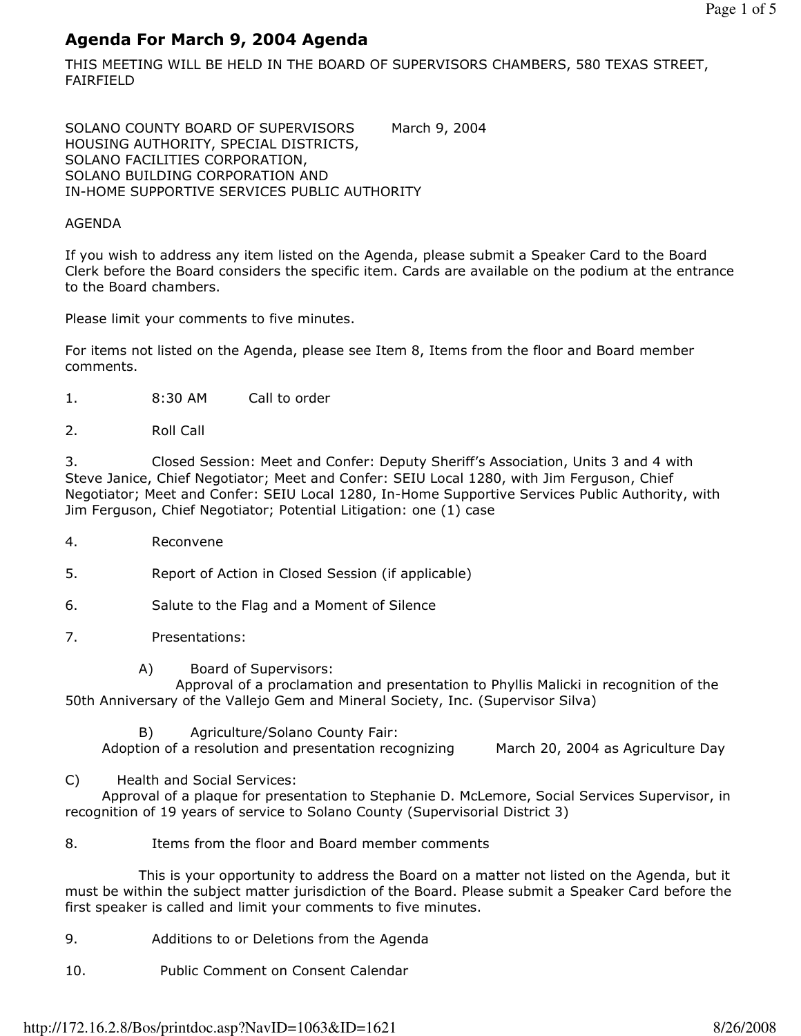# Agenda For March 9, 2004 Agenda

THIS MEETING WILL BE HELD IN THE BOARD OF SUPERVISORS CHAMBERS, 580 TEXAS STREET, FAIRFIELD

SOLANO COUNTY BOARD OF SUPERVISORS March 9, 2004 HOUSING AUTHORITY, SPECIAL DISTRICTS, SOLANO FACILITIES CORPORATION, SOLANO BUILDING CORPORATION AND IN-HOME SUPPORTIVE SERVICES PUBLIC AUTHORITY

### AGENDA

If you wish to address any item listed on the Agenda, please submit a Speaker Card to the Board Clerk before the Board considers the specific item. Cards are available on the podium at the entrance to the Board chambers.

Please limit your comments to five minutes.

For items not listed on the Agenda, please see Item 8, Items from the floor and Board member comments.

- 1. 8:30 AM Call to order
- 2. Roll Call

3. Closed Session: Meet and Confer: Deputy Sheriff's Association, Units 3 and 4 with Steve Janice, Chief Negotiator; Meet and Confer: SEIU Local 1280, with Jim Ferguson, Chief Negotiator; Meet and Confer: SEIU Local 1280, In-Home Supportive Services Public Authority, with Jim Ferguson, Chief Negotiator; Potential Litigation: one (1) case

4. Reconvene

5. Report of Action in Closed Session (if applicable)

- 6. Salute to the Flag and a Moment of Silence
- 7. Presentations:
	- A) Board of Supervisors:

 Approval of a proclamation and presentation to Phyllis Malicki in recognition of the 50th Anniversary of the Vallejo Gem and Mineral Society, Inc. (Supervisor Silva)

B) Agriculture/Solano County Fair:

Adoption of a resolution and presentation recognizing March 20, 2004 as Agriculture Day

C) Health and Social Services:

 Approval of a plaque for presentation to Stephanie D. McLemore, Social Services Supervisor, in recognition of 19 years of service to Solano County (Supervisorial District 3)

### 8. Items from the floor and Board member comments

 This is your opportunity to address the Board on a matter not listed on the Agenda, but it must be within the subject matter jurisdiction of the Board. Please submit a Speaker Card before the first speaker is called and limit your comments to five minutes.

- 9. Additions to or Deletions from the Agenda
- 10. Public Comment on Consent Calendar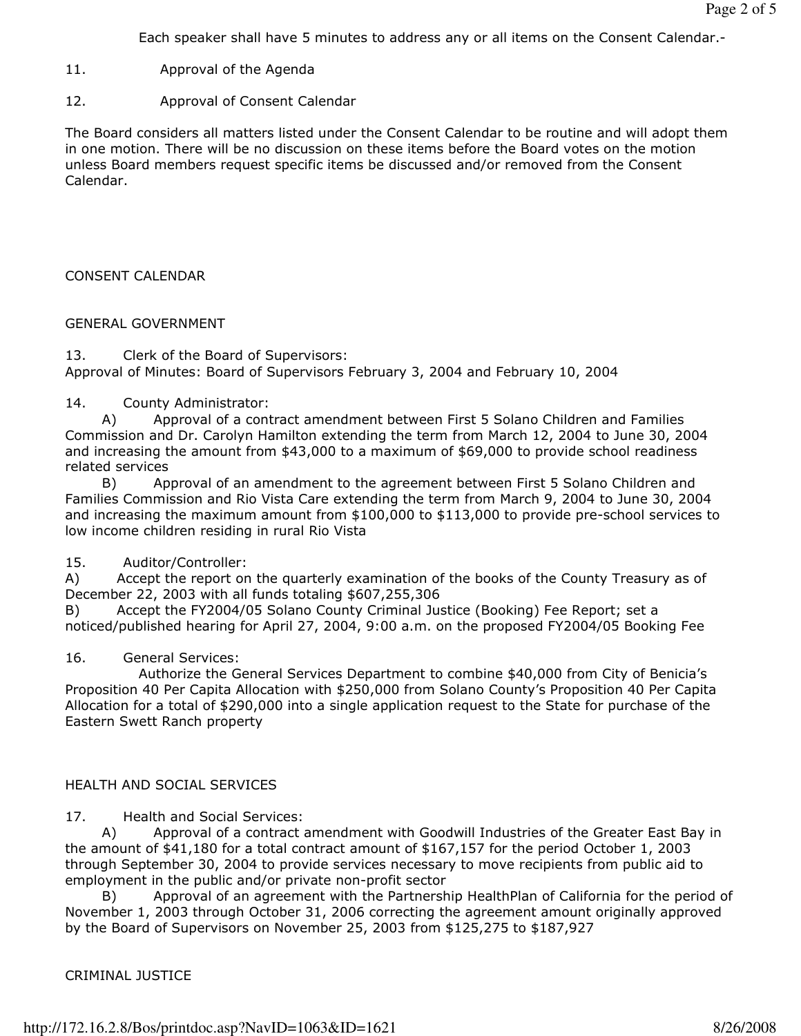Each speaker shall have 5 minutes to address any or all items on the Consent Calendar.-

- 11. Approval of the Agenda
- 12. Approval of Consent Calendar

The Board considers all matters listed under the Consent Calendar to be routine and will adopt them in one motion. There will be no discussion on these items before the Board votes on the motion unless Board members request specific items be discussed and/or removed from the Consent Calendar.

## CONSENT CALENDAR

## GENERAL GOVERNMENT

13. Clerk of the Board of Supervisors: Approval of Minutes: Board of Supervisors February 3, 2004 and February 10, 2004

## 14. County Administrator:

 A) Approval of a contract amendment between First 5 Solano Children and Families Commission and Dr. Carolyn Hamilton extending the term from March 12, 2004 to June 30, 2004 and increasing the amount from \$43,000 to a maximum of \$69,000 to provide school readiness related services

 B) Approval of an amendment to the agreement between First 5 Solano Children and Families Commission and Rio Vista Care extending the term from March 9, 2004 to June 30, 2004 and increasing the maximum amount from  $$100,000$  to  $$113,000$  to provide pre-school services to low income children residing in rural Rio Vista

## 15. Auditor/Controller:

A) Accept the report on the quarterly examination of the books of the County Treasury as of December 22, 2003 with all funds totaling \$607,255,306

B) Accept the FY2004/05 Solano County Criminal Justice (Booking) Fee Report; set a noticed/published hearing for April 27, 2004, 9:00 a.m. on the proposed FY2004/05 Booking Fee

## 16. General Services:

 Authorize the General Services Department to combine \$40,000 from City of Benicia's Proposition 40 Per Capita Allocation with \$250,000 from Solano County's Proposition 40 Per Capita Allocation for a total of \$290,000 into a single application request to the State for purchase of the Eastern Swett Ranch property

# HEALTH AND SOCIAL SERVICES

17. Health and Social Services:

 A) Approval of a contract amendment with Goodwill Industries of the Greater East Bay in the amount of \$41,180 for a total contract amount of \$167,157 for the period October 1, 2003 through September 30, 2004 to provide services necessary to move recipients from public aid to employment in the public and/or private non-profit sector

 B) Approval of an agreement with the Partnership HealthPlan of California for the period of November 1, 2003 through October 31, 2006 correcting the agreement amount originally approved by the Board of Supervisors on November 25, 2003 from \$125,275 to \$187,927

## CRIMINAL JUSTICE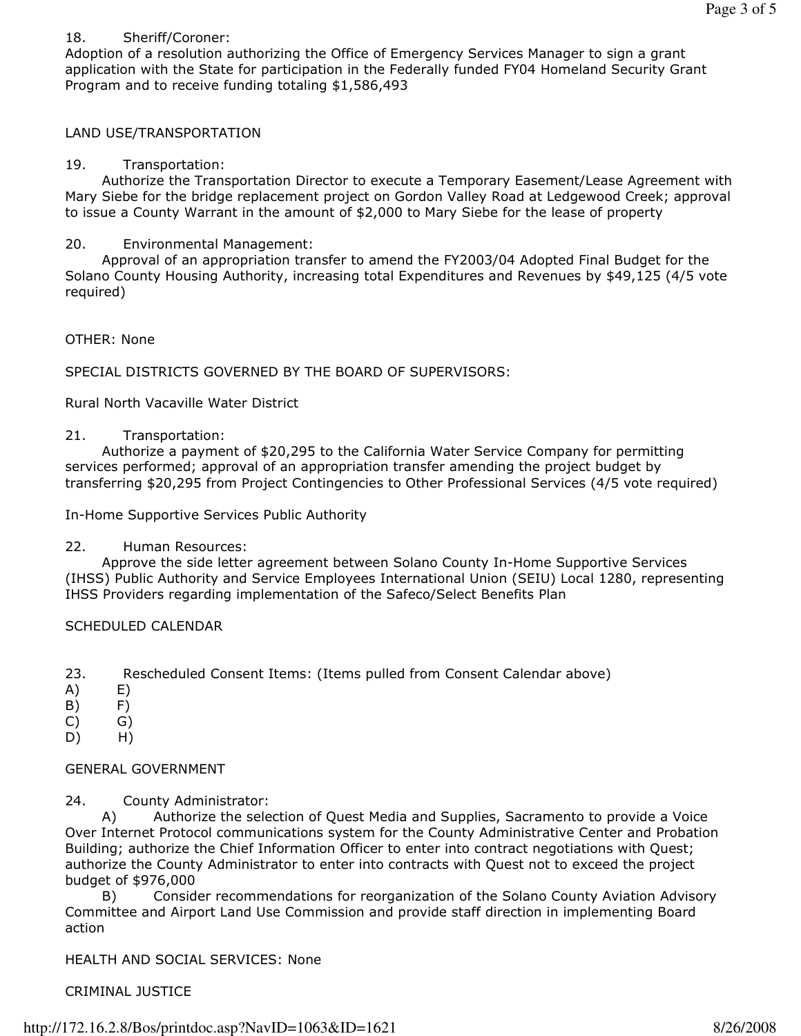#### 18. Sheriff/Coroner:

Adoption of a resolution authorizing the Office of Emergency Services Manager to sign a grant application with the State for participation in the Federally funded FY04 Homeland Security Grant Program and to receive funding totaling \$1,586,493

#### LAND USE/TRANSPORTATION

#### 19. Transportation:

 Authorize the Transportation Director to execute a Temporary Easement/Lease Agreement with Mary Siebe for the bridge replacement project on Gordon Valley Road at Ledgewood Creek; approval to issue a County Warrant in the amount of \$2,000 to Mary Siebe for the lease of property

#### 20. Environmental Management:

 Approval of an appropriation transfer to amend the FY2003/04 Adopted Final Budget for the Solano County Housing Authority, increasing total Expenditures and Revenues by \$49,125 (4/5 vote required)

#### OTHER: None

SPECIAL DISTRICTS GOVERNED BY THE BOARD OF SUPERVISORS:

Rural North Vacaville Water District

#### 21. Transportation:

 Authorize a payment of \$20,295 to the California Water Service Company for permitting services performed; approval of an appropriation transfer amending the project budget by transferring \$20,295 from Project Contingencies to Other Professional Services (4/5 vote required)

In-Home Supportive Services Public Authority

#### 22. Human Resources:

 Approve the side letter agreement between Solano County In-Home Supportive Services (IHSS) Public Authority and Service Employees International Union (SEIU) Local 1280, representing IHSS Providers regarding implementation of the Safeco/Select Benefits Plan

#### SCHEDULED CALENDAR

23. Rescheduled Consent Items: (Items pulled from Consent Calendar above)

- A) E)
- B) F)
- $(C)$   $(G)$
- D) H)

#### GENERAL GOVERNMENT

24. County Administrator:

 A) Authorize the selection of Quest Media and Supplies, Sacramento to provide a Voice Over Internet Protocol communications system for the County Administrative Center and Probation Building; authorize the Chief Information Officer to enter into contract negotiations with Quest; authorize the County Administrator to enter into contracts with Quest not to exceed the project budget of \$976,000

 B) Consider recommendations for reorganization of the Solano County Aviation Advisory Committee and Airport Land Use Commission and provide staff direction in implementing Board action

HEALTH AND SOCIAL SERVICES: None

CRIMINAL JUSTICE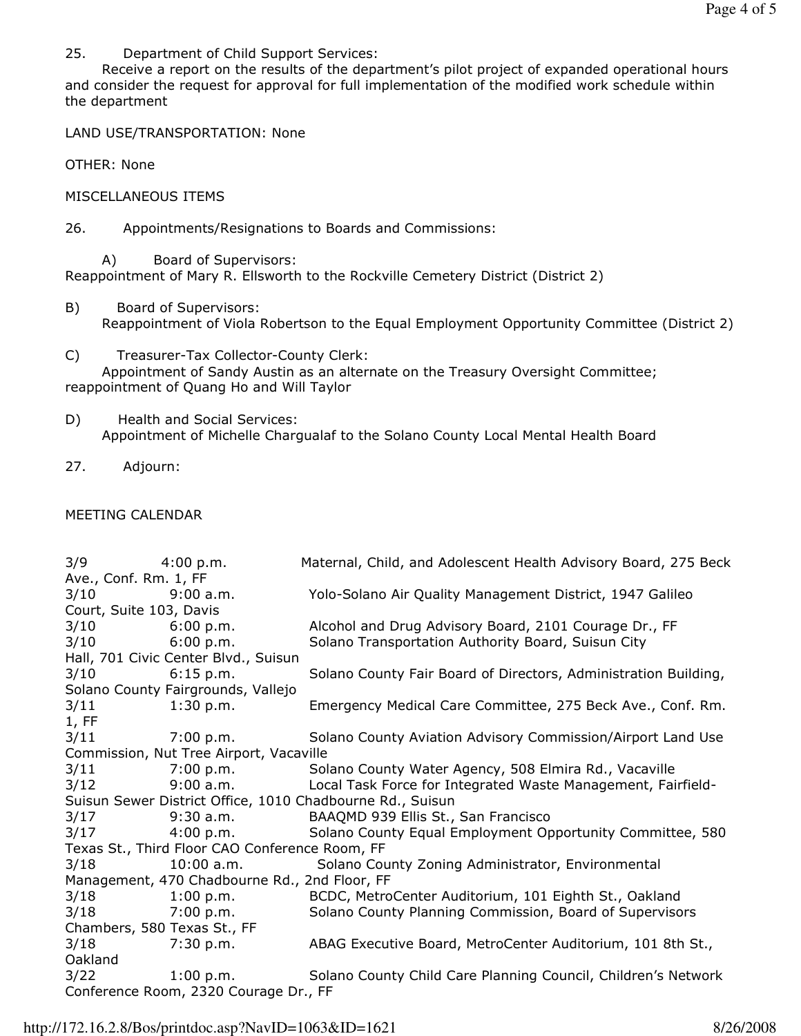25. Department of Child Support Services:

 Receive a report on the results of the department's pilot project of expanded operational hours and consider the request for approval for full implementation of the modified work schedule within the department

LAND USE/TRANSPORTATION: None

OTHER: None

MISCELLANEOUS ITEMS

26. Appointments/Resignations to Boards and Commissions:

 A) Board of Supervisors: Reappointment of Mary R. Ellsworth to the Rockville Cemetery District (District 2)

- B) Board of Supervisors: Reappointment of Viola Robertson to the Equal Employment Opportunity Committee (District 2)
- C) Treasurer-Tax Collector-County Clerk:

 Appointment of Sandy Austin as an alternate on the Treasury Oversight Committee; reappointment of Quang Ho and Will Taylor

- D) Health and Social Services: Appointment of Michelle Chargualaf to the Solano County Local Mental Health Board
- 27. Adjourn:

#### MEETING CALENDAR

3/9 4:00 p.m. Maternal, Child, and Adolescent Health Advisory Board, 275 Beck Ave., Conf. Rm. 1, FF 3/10 9:00 a.m. Yolo-Solano Air Quality Management District, 1947 Galileo Court, Suite 103, Davis 3/10 6:00 p.m. Alcohol and Drug Advisory Board, 2101 Courage Dr., FF 3/10 6:00 p.m. Solano Transportation Authority Board, Suisun City Hall, 701 Civic Center Blvd., Suisun 3/10 6:15 p.m. Solano County Fair Board of Directors, Administration Building, Solano County Fairgrounds, Vallejo 3/11 1:30 p.m. Emergency Medical Care Committee, 275 Beck Ave., Conf. Rm. 1, FF 3/11 7:00 p.m. Solano County Aviation Advisory Commission/Airport Land Use Commission, Nut Tree Airport, Vacaville 3/11 7:00 p.m. Solano County Water Agency, 508 Elmira Rd., Vacaville 3/12 9:00 a.m. Local Task Force for Integrated Waste Management, Fairfield-Suisun Sewer District Office, 1010 Chadbourne Rd., Suisun 3/17 9:30 a.m. BAAQMD 939 Ellis St., San Francisco 3/17 4:00 p.m. Solano County Equal Employment Opportunity Committee, 580 Texas St., Third Floor CAO Conference Room, FF 3/18 10:00 a.m. Solano County Zoning Administrator, Environmental Management, 470 Chadbourne Rd., 2nd Floor, FF 3/18 1:00 p.m. BCDC, MetroCenter Auditorium, 101 Eighth St., Oakland 3/18 7:00 p.m. Solano County Planning Commission, Board of Supervisors Chambers, 580 Texas St., FF 3/18 7:30 p.m. ABAG Executive Board, MetroCenter Auditorium, 101 8th St., Oakland 3/22 1:00 p.m. Solano County Child Care Planning Council, Children's Network Conference Room, 2320 Courage Dr., FF